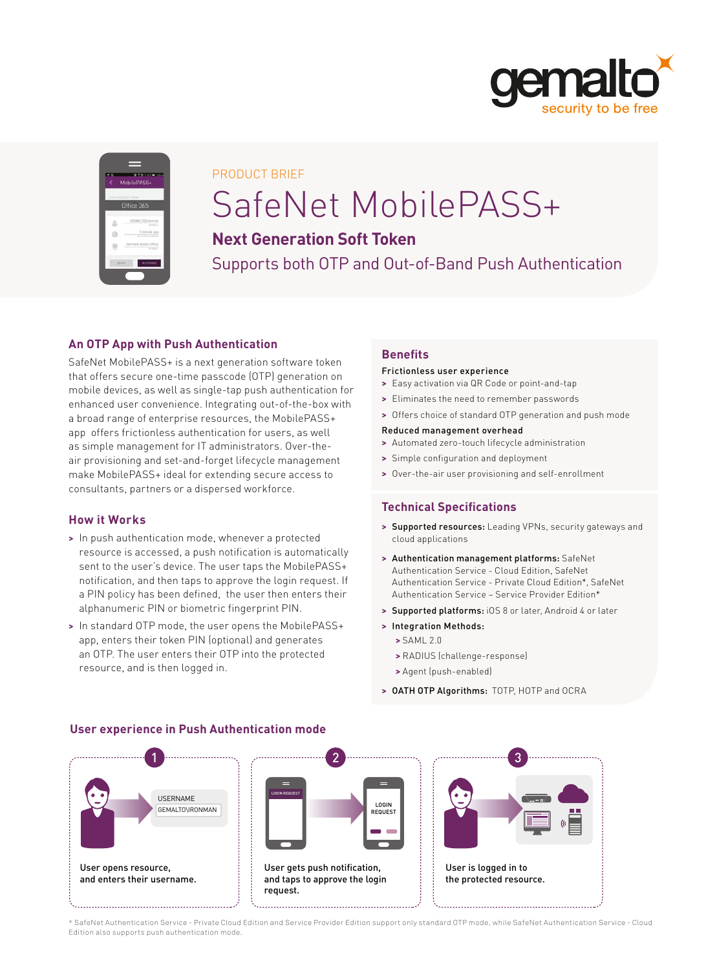

|        | MobilePASS+ |
|--------|-------------|
|        | Office 365  |
|        | × 66        |
|        | ---         |
| COSMIL | APPROVE     |

#### PRODUCT BRIEF

### SafeNet MobilePASS+

#### **Next Generation Soft Token**

Supports both OTP and Out-of-Band Push Authentication

#### **An OTP App with Push Authentication**

SafeNet MobilePASS+ is a next generation software token that offers secure one-time passcode (OTP) generation on mobile devices, as well as single-tap push authentication for enhanced user convenience. Integrating out-of-the-box with a broad range of enterprise resources, the MobilePASS+ app offers frictionless authentication for users, as well as simple management for IT administrators. Over-theair provisioning and set-and-forget lifecycle management make MobilePASS+ ideal for extending secure access to consultants, partners or a dispersed workforce.

#### **How it Works**

- **>** In push authentication mode, whenever a protected resource is accessed, a push notification is automatically sent to the user's device. The user taps the MobilePASS+ notification, and then taps to approve the login request. If a PIN policy has been defined, the user then enters their alphanumeric PIN or biometric fingerprint PIN.
- **>** In standard OTP mode, the user opens the MobilePASS+ app, enters their token PIN (optional) and generates an OTP. The user enters their OTP into the protected resource, and is then logged in.

#### **Benefits**

#### Frictionless user experience

- **>** Easy activation via QR Code or point-and-tap
- **>** Eliminates the need to remember passwords
- **>** Offers choice of standard OTP generation and push mode

#### Reduced management overhead

- **>** Automated zero-touch lifecycle administration
- **>** Simple configuration and deployment
- **>** Over-the-air user provisioning and self-enrollment

#### **Technical Specifications**

- **>** Supported resources: Leading VPNs, security gateways and cloud applications
- **>** Authentication management platforms: SafeNet Authentication Service - Cloud Edition, SafeNet Authentication Service - Private Cloud Edition\*, SafeNet Authentication Service – Service Provider Edition\*
- **>** Supported platforms: iOS 8 or later, Android 4 or later
- **>** Integration Methods:
	- **>** SAML 2.0
	- **>** RADIUS (challenge-response)
	- **>** Agent (push-enabled)
- **>** OATH OTP Algorithms: TOTP, HOTP and OCRA



#### **User experience in Push Authentication mode**

\* SafeNet Authentication Service - Private Cloud Edition and Service Provider Edition support only standard OTP mode, while SafeNet Authentication Service - Cloud Edition also supports push authentication mode.